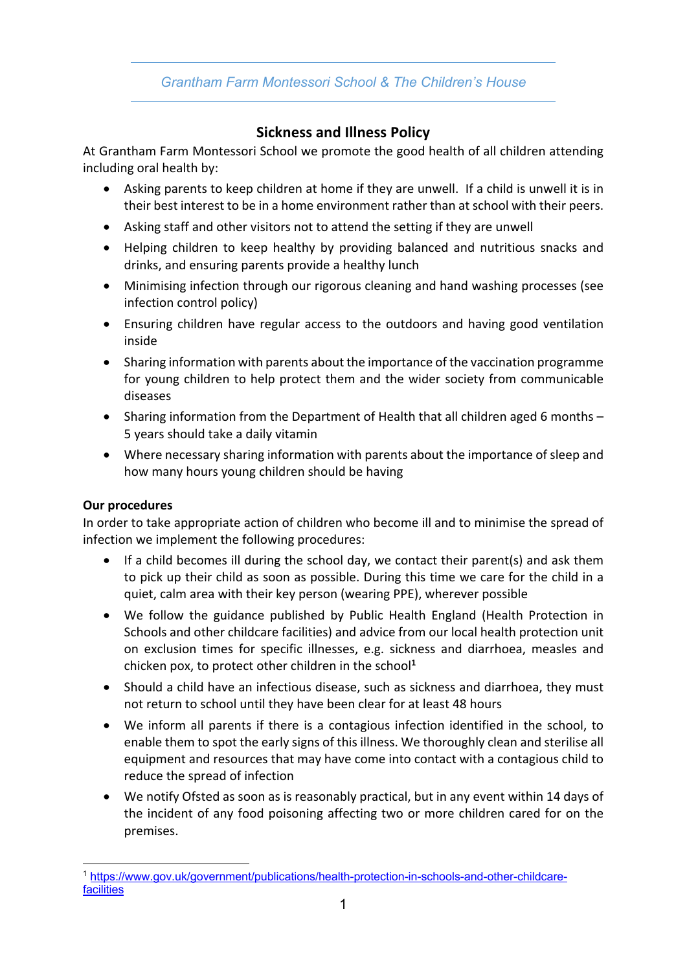## *Grantham Farm Montessori School & The Children's House*

# **Sickness and Illness Policy**

At Grantham Farm Montessori School we promote the good health of all children attending including oral health by:

- Asking parents to keep children at home if they are unwell. If a child is unwell it is in their best interest to be in a home environment rather than at school with their peers.
- Asking staff and other visitors not to attend the setting if they are unwell
- Helping children to keep healthy by providing balanced and nutritious snacks and drinks, and ensuring parents provide a healthy lunch
- Minimising infection through our rigorous cleaning and hand washing processes (see infection control policy)
- Ensuring children have regular access to the outdoors and having good ventilation inside
- Sharing information with parents about the importance of the vaccination programme for young children to help protect them and the wider society from communicable diseases
- Sharing information from the Department of Health that all children aged 6 months 5 years should take a daily vitamin
- Where necessary sharing information with parents about the importance of sleep and how many hours young children should be having

#### **Our procedures**

In order to take appropriate action of children who become ill and to minimise the spread of infection we implement the following procedures:

- If a child becomes ill during the school day, we contact their parent(s) and ask them to pick up their child as soon as possible. During this time we care for the child in a quiet, calm area with their key person (wearing PPE), wherever possible
- We follow the guidance published by Public Health England (Health Protection in Schools and other childcare facilities) and advice from our local health protection unit on exclusion times for specific illnesses, e.g. sickness and diarrhoea, measles and chicken pox, to protect other children in the school**<sup>1</sup>**
- Should a child have an infectious disease, such as sickness and diarrhoea, they must not return to school until they have been clear for at least 48 hours
- We inform all parents if there is a contagious infection identified in the school, to enable them to spot the early signs of this illness. We thoroughly clean and sterilise all equipment and resources that may have come into contact with a contagious child to reduce the spread of infection
- We notify Ofsted as soon as is reasonably practical, but in any event within 14 days of the incident of any food poisoning affecting two or more children cared for on the premises.

<sup>1</sup> https://www.gov.uk/government/publications/health-protection-in-schools-and-other-childcarefacilities